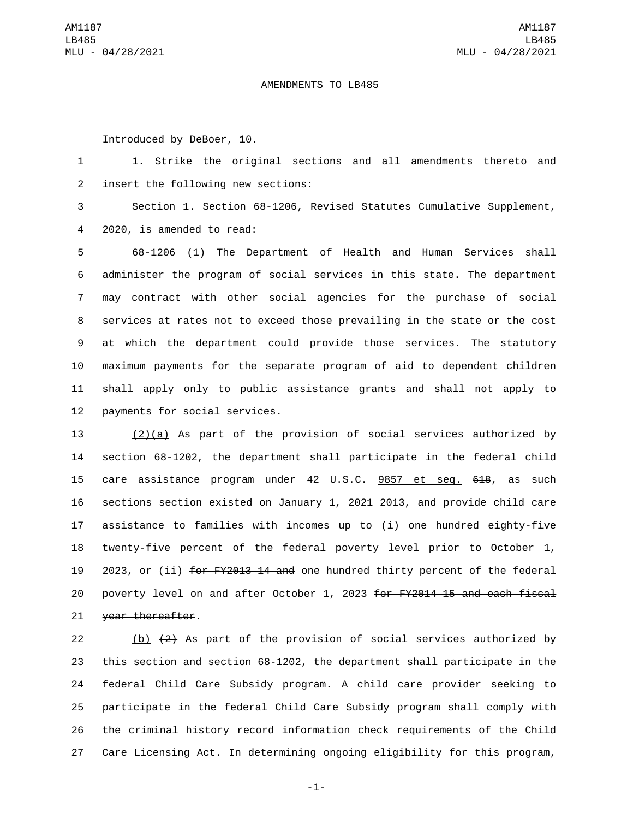## AMENDMENTS TO LB485

Introduced by DeBoer, 10.

1 1. Strike the original sections and all amendments thereto and 2 insert the following new sections:

3 Section 1. Section 68-1206, Revised Statutes Cumulative Supplement, 2020, is amended to read:4

 68-1206 (1) The Department of Health and Human Services shall administer the program of social services in this state. The department may contract with other social agencies for the purchase of social services at rates not to exceed those prevailing in the state or the cost at which the department could provide those services. The statutory maximum payments for the separate program of aid to dependent children shall apply only to public assistance grants and shall not apply to 12 payments for social services.

 (2)(a) As part of the provision of social services authorized by section 68-1202, the department shall participate in the federal child care assistance program under 42 U.S.C. 9857 et seq. 618, as such sections section existed on January 1, 2021 2013, and provide child care assistance to families with incomes up to (i) one hundred eighty-five 18 twenty-five percent of the federal poverty level prior to October 1, 19 2023, or (ii) for FY2013-14 and one hundred thirty percent of the federal poverty level on and after October 1, 2023 for FY2014-15 and each fiscal 21 year thereafter.

22 (b)  $(2)$  As part of the provision of social services authorized by this section and section 68-1202, the department shall participate in the federal Child Care Subsidy program. A child care provider seeking to participate in the federal Child Care Subsidy program shall comply with the criminal history record information check requirements of the Child Care Licensing Act. In determining ongoing eligibility for this program,

-1-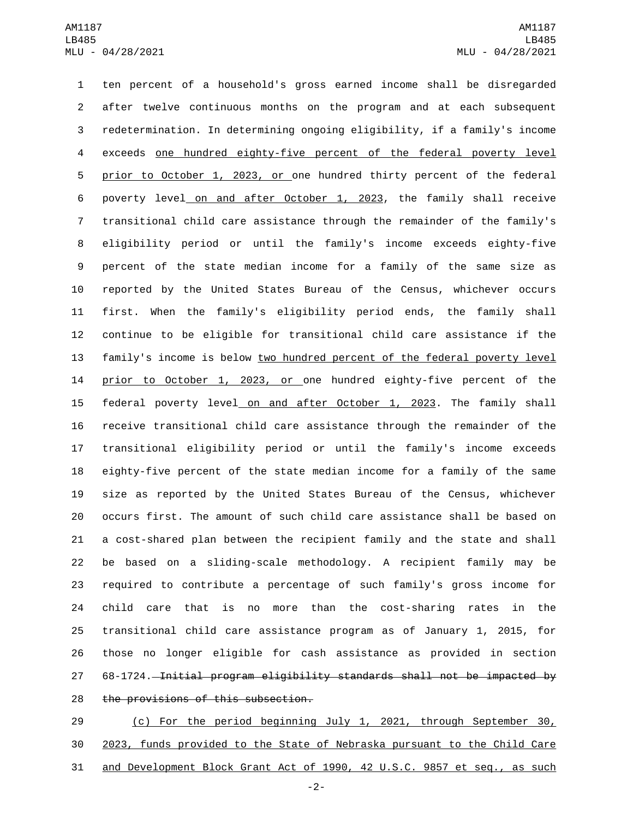ten percent of a household's gross earned income shall be disregarded after twelve continuous months on the program and at each subsequent redetermination. In determining ongoing eligibility, if a family's income exceeds one hundred eighty-five percent of the federal poverty level prior to October 1, 2023, or one hundred thirty percent of the federal poverty level on and after October 1, 2023, the family shall receive transitional child care assistance through the remainder of the family's eligibility period or until the family's income exceeds eighty-five percent of the state median income for a family of the same size as reported by the United States Bureau of the Census, whichever occurs first. When the family's eligibility period ends, the family shall continue to be eligible for transitional child care assistance if the family's income is below two hundred percent of the federal poverty level prior to October 1, 2023, or one hundred eighty-five percent of the federal poverty level on and after October 1, 2023. The family shall receive transitional child care assistance through the remainder of the transitional eligibility period or until the family's income exceeds eighty-five percent of the state median income for a family of the same size as reported by the United States Bureau of the Census, whichever occurs first. The amount of such child care assistance shall be based on a cost-shared plan between the recipient family and the state and shall be based on a sliding-scale methodology. A recipient family may be required to contribute a percentage of such family's gross income for child care that is no more than the cost-sharing rates in the transitional child care assistance program as of January 1, 2015, for those no longer eligible for cash assistance as provided in section 27 68-1724. Initial program eligibility standards shall not be impacted by 28 the provisions of this subsection.

 (c) For the period beginning July 1, 2021, through September 30, 2023, funds provided to the State of Nebraska pursuant to the Child Care and Development Block Grant Act of 1990, 42 U.S.C. 9857 et seq., as such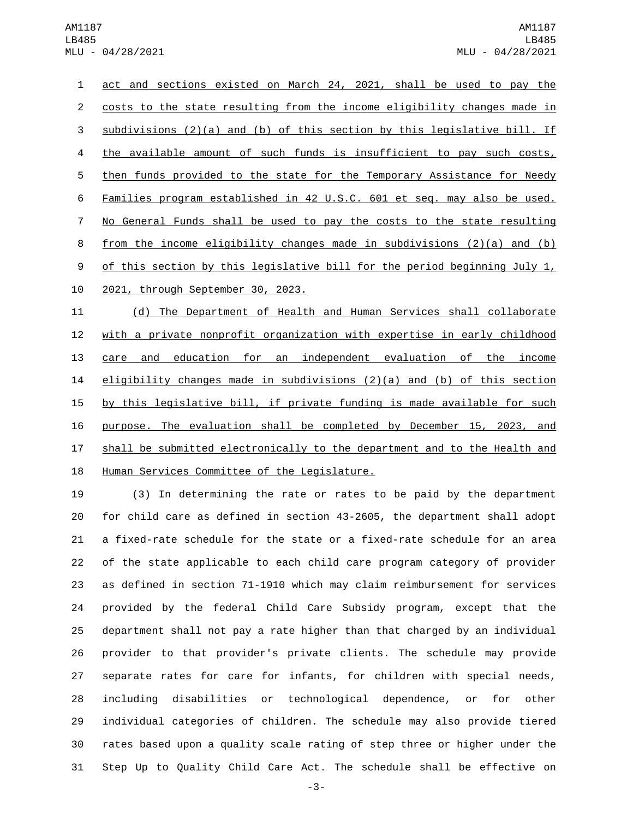act and sections existed on March 24, 2021, shall be used to pay the costs to the state resulting from the income eligibility changes made in 3 subdivisions  $(2)(a)$  and  $(b)$  of this section by this legislative bill. If 4 the available amount of such funds is insufficient to pay such costs, then funds provided to the state for the Temporary Assistance for Needy Families program established in 42 U.S.C. 601 et seq. may also be used. No General Funds shall be used to pay the costs to the state resulting from the income eligibility changes made in subdivisions (2)(a) and (b) 9 of this section by this legislative bill for the period beginning July 1, 10 2021, through September 30, 2023.

 (d) The Department of Health and Human Services shall collaborate with a private nonprofit organization with expertise in early childhood care and education for an independent evaluation of the income eligibility changes made in subdivisions (2)(a) and (b) of this section 15 by this legislative bill, if private funding is made available for such purpose. The evaluation shall be completed by December 15, 2023, and shall be submitted electronically to the department and to the Health and 18 Human Services Committee of the Legislature.

 (3) In determining the rate or rates to be paid by the department for child care as defined in section 43-2605, the department shall adopt a fixed-rate schedule for the state or a fixed-rate schedule for an area of the state applicable to each child care program category of provider as defined in section 71-1910 which may claim reimbursement for services provided by the federal Child Care Subsidy program, except that the department shall not pay a rate higher than that charged by an individual provider to that provider's private clients. The schedule may provide separate rates for care for infants, for children with special needs, including disabilities or technological dependence, or for other individual categories of children. The schedule may also provide tiered rates based upon a quality scale rating of step three or higher under the Step Up to Quality Child Care Act. The schedule shall be effective on

-3-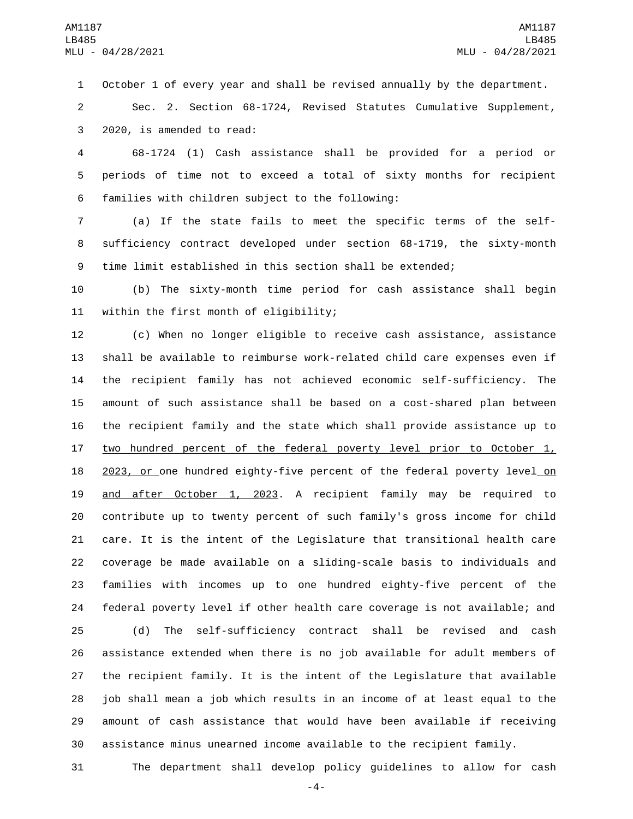October 1 of every year and shall be revised annually by the department.

 Sec. 2. Section 68-1724, Revised Statutes Cumulative Supplement, 3 2020, is amended to read:

 68-1724 (1) Cash assistance shall be provided for a period or periods of time not to exceed a total of sixty months for recipient 6 families with children subject to the following:

 (a) If the state fails to meet the specific terms of the self- sufficiency contract developed under section 68-1719, the sixty-month time limit established in this section shall be extended;

 (b) The sixty-month time period for cash assistance shall begin 11 within the first month of eligibility;

 (c) When no longer eligible to receive cash assistance, assistance shall be available to reimburse work-related child care expenses even if the recipient family has not achieved economic self-sufficiency. The amount of such assistance shall be based on a cost-shared plan between the recipient family and the state which shall provide assistance up to 17 two hundred percent of the federal poverty level prior to October 1, 18 2023, or one hundred eighty-five percent of the federal poverty level on and after October 1, 2023. A recipient family may be required to contribute up to twenty percent of such family's gross income for child care. It is the intent of the Legislature that transitional health care coverage be made available on a sliding-scale basis to individuals and families with incomes up to one hundred eighty-five percent of the federal poverty level if other health care coverage is not available; and

 (d) The self-sufficiency contract shall be revised and cash assistance extended when there is no job available for adult members of the recipient family. It is the intent of the Legislature that available job shall mean a job which results in an income of at least equal to the amount of cash assistance that would have been available if receiving assistance minus unearned income available to the recipient family.

The department shall develop policy guidelines to allow for cash

-4-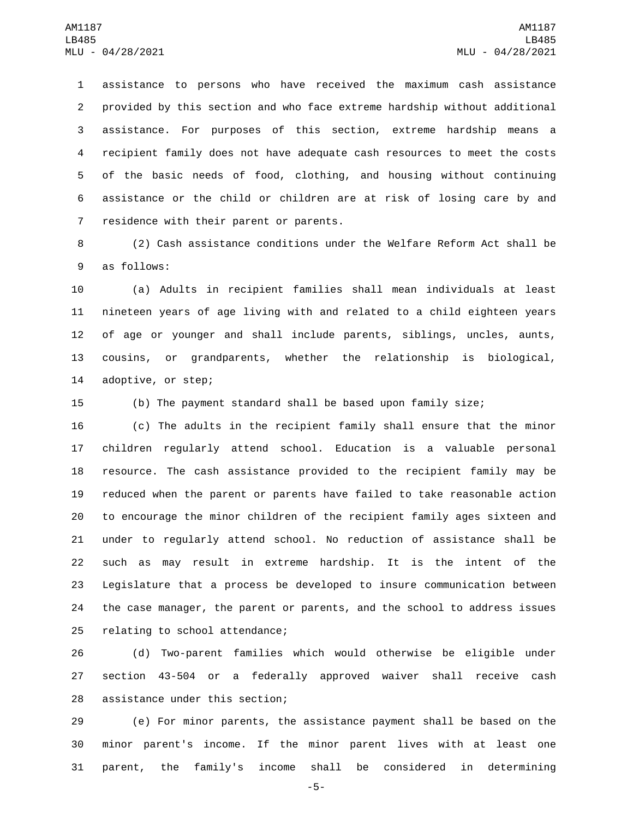assistance to persons who have received the maximum cash assistance provided by this section and who face extreme hardship without additional assistance. For purposes of this section, extreme hardship means a recipient family does not have adequate cash resources to meet the costs of the basic needs of food, clothing, and housing without continuing assistance or the child or children are at risk of losing care by and 7 residence with their parent or parents.

 (2) Cash assistance conditions under the Welfare Reform Act shall be 9 as follows:

 (a) Adults in recipient families shall mean individuals at least nineteen years of age living with and related to a child eighteen years of age or younger and shall include parents, siblings, uncles, aunts, cousins, or grandparents, whether the relationship is biological, 14 adoptive, or step;

(b) The payment standard shall be based upon family size;

 (c) The adults in the recipient family shall ensure that the minor children regularly attend school. Education is a valuable personal resource. The cash assistance provided to the recipient family may be reduced when the parent or parents have failed to take reasonable action to encourage the minor children of the recipient family ages sixteen and under to regularly attend school. No reduction of assistance shall be such as may result in extreme hardship. It is the intent of the Legislature that a process be developed to insure communication between the case manager, the parent or parents, and the school to address issues 25 relating to school attendance;

 (d) Two-parent families which would otherwise be eligible under section 43-504 or a federally approved waiver shall receive cash 28 assistance under this section;

 (e) For minor parents, the assistance payment shall be based on the minor parent's income. If the minor parent lives with at least one parent, the family's income shall be considered in determining

-5-